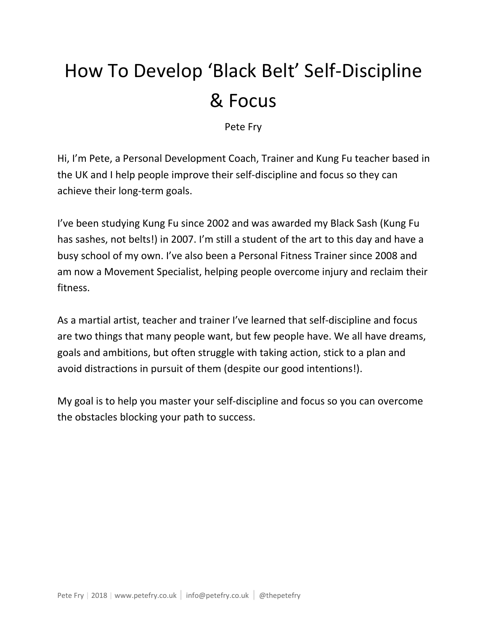# How To Develop 'Black Belt' Self-Discipline & Focus

Pete Fry

Hi, I'm Pete, a Personal Development Coach, Trainer and Kung Fu teacher based in the UK and I help people improve their self-discipline and focus so they can achieve their long-term goals.

I've been studying Kung Fu since 2002 and was awarded my Black Sash (Kung Fu has sashes, not belts!) in 2007. I'm still a student of the art to this day and have a busy school of my own. I've also been a Personal Fitness Trainer since 2008 and am now a Movement Specialist, helping people overcome injury and reclaim their fitness.

As a martial artist, teacher and trainer I've learned that self-discipline and focus are two things that many people want, but few people have. We all have dreams, goals and ambitions, but often struggle with taking action, stick to a plan and avoid distractions in pursuit of them (despite our good intentions!).

My goal is to help you master your self-discipline and focus so you can overcome the obstacles blocking your path to success.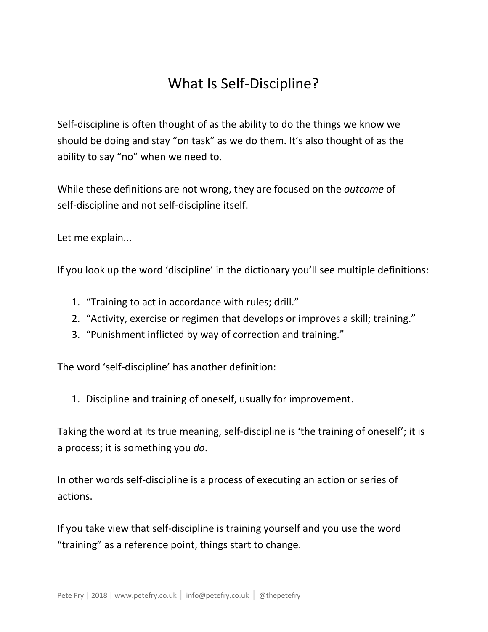## What Is Self-Discipline?

Self-discipline is often thought of as the ability to do the things we know we should be doing and stay "on task" as we do them. It's also thought of as the ability to say "no" when we need to.

While these definitions are not wrong, they are focused on the *outcome* of self-discipline and not self-discipline itself.

Let me explain...

If you look up the word 'discipline' in the dictionary you'll see multiple definitions:

- 1. "Training to act in accordance with rules; drill."
- 2. "Activity, exercise or regimen that develops or improves a skill; training."
- 3. "Punishment inflicted by way of correction and training."

The word 'self-discipline' has another definition:

1. Discipline and training of oneself, usually for improvement.

Taking the word at its true meaning, self-discipline is 'the training of oneself'; it is a process; it is something you *do*.

In other words self-discipline is a process of executing an action or series of actions.

If you take view that self-discipline is training yourself and you use the word "training" as a reference point, things start to change.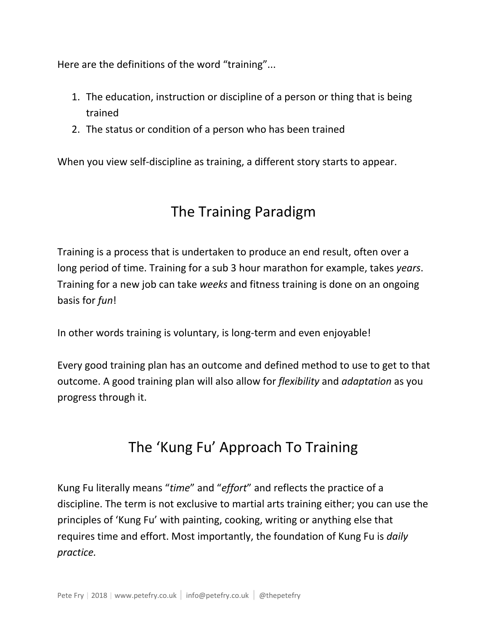Here are the definitions of the word "training"...

- 1. The education, instruction or discipline of a person or thing that is being trained
- 2. The status or condition of a person who has been trained

When you view self-discipline as training, a different story starts to appear.

## The Training Paradigm

Training is a process that is undertaken to produce an end result, often over a long period of time. Training for a sub 3 hour marathon for example, takes *years*. Training for a new job can take *weeks* and fitness training is done on an ongoing basis for *fun*!

In other words training is voluntary, is long-term and even enjoyable!

Every good training plan has an outcome and defined method to use to get to that outcome. A good training plan will also allow for *flexibility* and *adaptation* as you progress through it.

## The 'Kung Fu' Approach To Training

Kung Fu literally means "*time*" and "*effort*" and reflects the practice of a discipline. The term is not exclusive to martial arts training either; you can use the principles of 'Kung Fu' with painting, cooking, writing or anything else that requires time and effort. Most importantly, the foundation of Kung Fu is *daily practice.*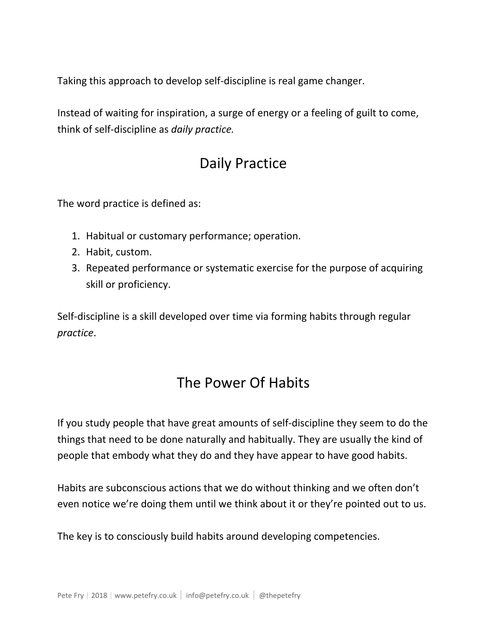Taking this approach to develop self-discipline is real game changer.

Instead of waiting for inspiration, a surge of energy or a feeling of guilt to come, think of self-discipline as *daily practice.*

#### Daily Practice

The word practice is defined as:

- 1. Habitual or customary performance; operation.
- 2. Habit, custom.
- 3. Repeated performance or systematic exercise for the purpose of acquiring skill or proficiency.

Self-discipline is a skill developed over time via forming habits through regular *practice*.

#### The Power Of Habits

If you study people that have great amounts of self-discipline they seem to do the things that need to be done naturally and habitually. They are usually the kind of people that embody what they do and they have appear to have good habits.

Habits are subconscious actions that we do without thinking and we often don't even notice we're doing them until we think about it or they're pointed out to us.

The key is to consciously build habits around developing competencies.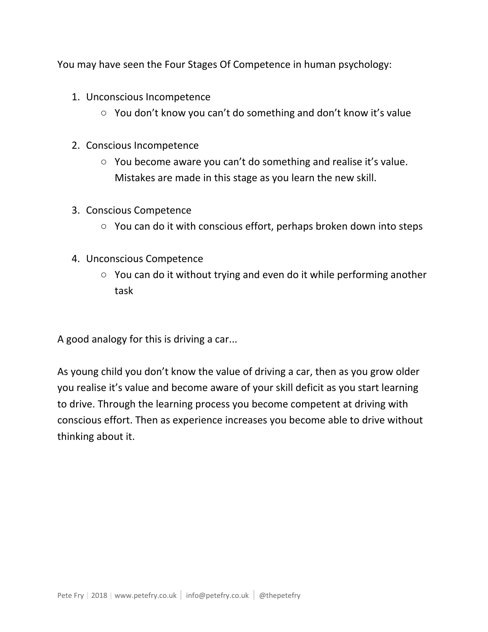You may have seen the Four Stages Of Competence in human psychology:

- 1. Unconscious Incompetence
	- You don't know you can't do something and don't know it's value
- 2. Conscious Incompetence
	- You become aware you can't do something and realise it's value. Mistakes are made in this stage as you learn the new skill.
- 3. Conscious Competence
	- You can do it with conscious effort, perhaps broken down into steps
- 4. Unconscious Competence
	- You can do it without trying and even do it while performing another task

A good analogy for this is driving a car...

As young child you don't know the value of driving a car, then as you grow older you realise it's value and become aware of your skill deficit as you start learning to drive. Through the learning process you become competent at driving with conscious effort. Then as experience increases you become able to drive without thinking about it.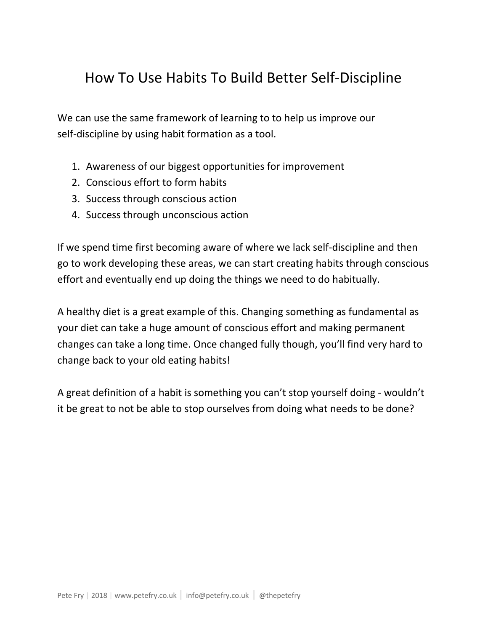#### How To Use Habits To Build Better Self-Discipline

We can use the same framework of learning to to help us improve our self-discipline by using habit formation as a tool.

- 1. Awareness of our biggest opportunities for improvement
- 2. Conscious effort to form habits
- 3. Success through conscious action
- 4. Success through unconscious action

If we spend time first becoming aware of where we lack self-discipline and then go to work developing these areas, we can start creating habits through conscious effort and eventually end up doing the things we need to do habitually.

A healthy diet is a great example of this. Changing something as fundamental as your diet can take a huge amount of conscious effort and making permanent changes can take a long time. Once changed fully though, you'll find very hard to change back to your old eating habits!

A great definition of a habit is something you can't stop yourself doing - wouldn't it be great to not be able to stop ourselves from doing what needs to be done?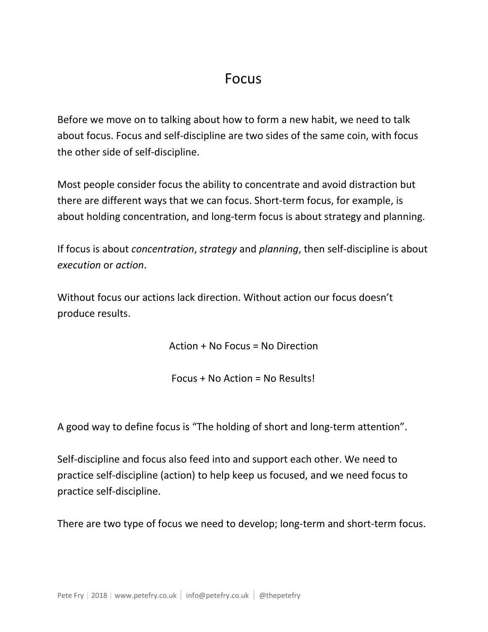#### Focus

Before we move on to talking about how to form a new habit, we need to talk about focus. Focus and self-discipline are two sides of the same coin, with focus the other side of self-discipline.

Most people consider focus the ability to concentrate and avoid distraction but there are different ways that we can focus. Short-term focus, for example, is about holding concentration, and long-term focus is about strategy and planning.

If focus is about *concentration*, *strategy* and *planning*, then self-discipline is about *execution* or *action*.

Without focus our actions lack direction. Without action our focus doesn't produce results.

Action + No Focus = No Direction

Focus + No Action = No Results!

A good way to define focus is "The holding of short and long-term attention".

Self-discipline and focus also feed into and support each other. We need to practice self-discipline (action) to help keep us focused, and we need focus to practice self-discipline.

There are two type of focus we need to develop; long-term and short-term focus.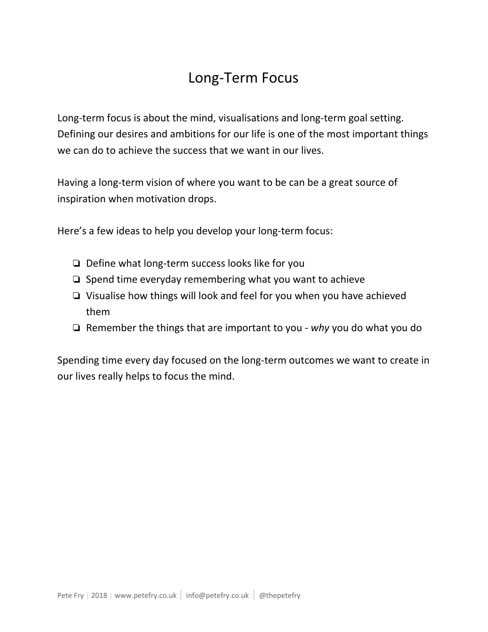### Long-Term Focus

Long-term focus is about the mind, visualisations and long-term goal setting. Defining our desires and ambitions for our life is one of the most important things we can do to achieve the success that we want in our lives.

Having a long-term vision of where you want to be can be a great source of inspiration when motivation drops.

Here's a few ideas to help you develop your long-term focus:

- ❏ Define what long-term success looks like for you
- ❏ Spend time everyday remembering what you want to achieve
- ❏ Visualise how things will look and feel for you when you have achieved them
- ❏ Remember the things that are important to you *why* you do what you do

Spending time every day focused on the long-term outcomes we want to create in our lives really helps to focus the mind.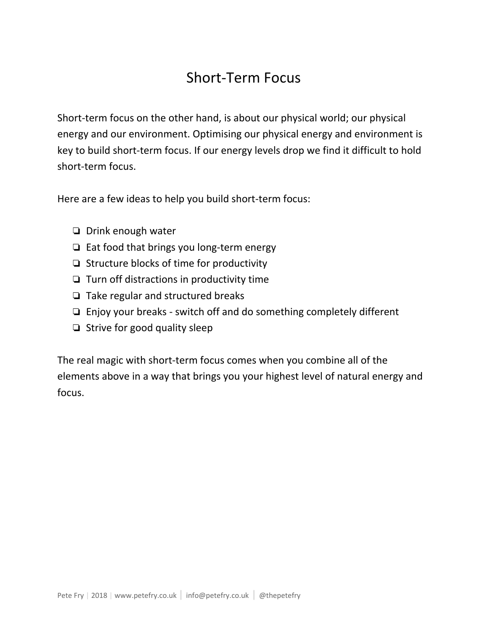#### Short-Term Focus

Short-term focus on the other hand, is about our physical world; our physical energy and our environment. Optimising our physical energy and environment is key to build short-term focus. If our energy levels drop we find it difficult to hold short-term focus.

Here are a few ideas to help you build short-term focus:

- ❏ Drink enough water
- ❏ Eat food that brings you long-term energy
- ❏ Structure blocks of time for productivity
- ❏ Turn off distractions in productivity time
- ❏ Take regular and structured breaks
- ❏ Enjoy your breaks switch off and do something completely different
- ❏ Strive for good quality sleep

The real magic with short-term focus comes when you combine all of the elements above in a way that brings you your highest level of natural energy and focus.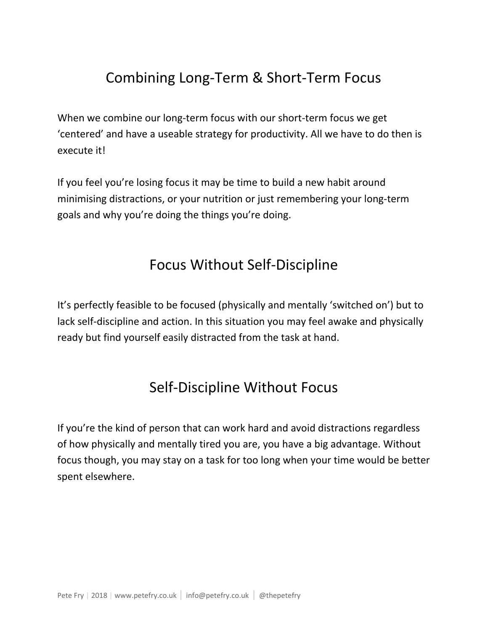## Combining Long-Term & Short-Term Focus

When we combine our long-term focus with our short-term focus we get 'centered' and have a useable strategy for productivity. All we have to do then is execute it!

If you feel you're losing focus it may be time to build a new habit around minimising distractions, or your nutrition or just remembering your long-term goals and why you're doing the things you're doing.

#### Focus Without Self-Discipline

It's perfectly feasible to be focused (physically and mentally 'switched on') but to lack self-discipline and action. In this situation you may feel awake and physically ready but find yourself easily distracted from the task at hand.

## Self-Discipline Without Focus

If you're the kind of person that can work hard and avoid distractions regardless of how physically and mentally tired you are, you have a big advantage. Without focus though, you may stay on a task for too long when your time would be better spent elsewhere.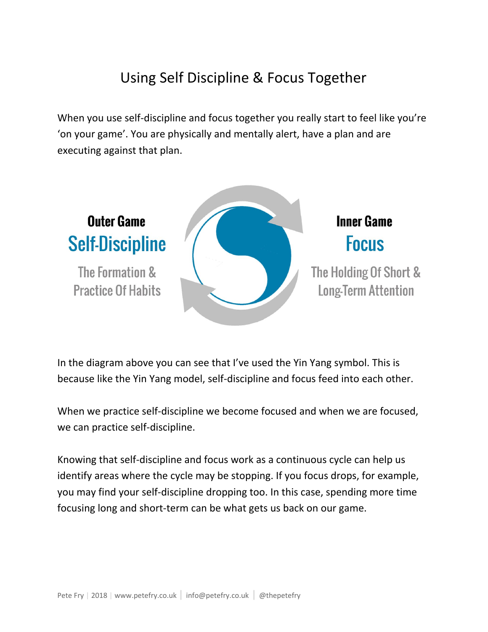## Using Self Discipline & Focus Together

When you use self-discipline and focus together you really start to feel like you're 'on your game'. You are physically and mentally alert, have a plan and are executing against that plan.



In the diagram above you can see that I've used the Yin Yang symbol. This is because like the Yin Yang model, self-discipline and focus feed into each other.

When we practice self-discipline we become focused and when we are focused, we can practice self-discipline.

Knowing that self-discipline and focus work as a continuous cycle can help us identify areas where the cycle may be stopping. If you focus drops, for example, you may find your self-discipline dropping too. In this case, spending more time focusing long and short-term can be what gets us back on our game.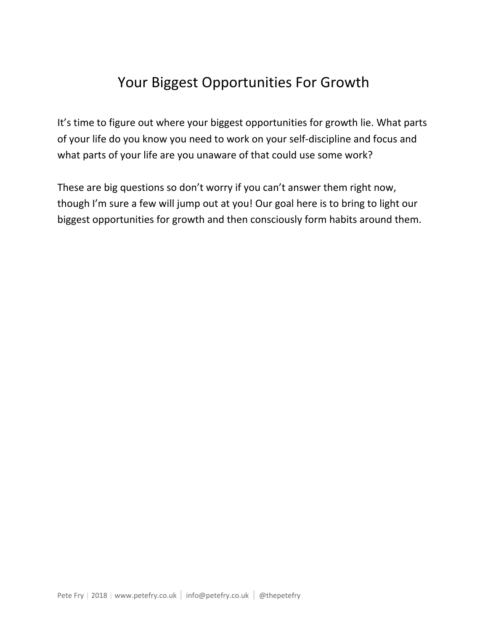## Your Biggest Opportunities For Growth

It's time to figure out where your biggest opportunities for growth lie. What parts of your life do you know you need to work on your self-discipline and focus and what parts of your life are you unaware of that could use some work?

These are big questions so don't worry if you can't answer them right now, though I'm sure a few will jump out at you! Our goal here is to bring to light our biggest opportunities for growth and then consciously form habits around them.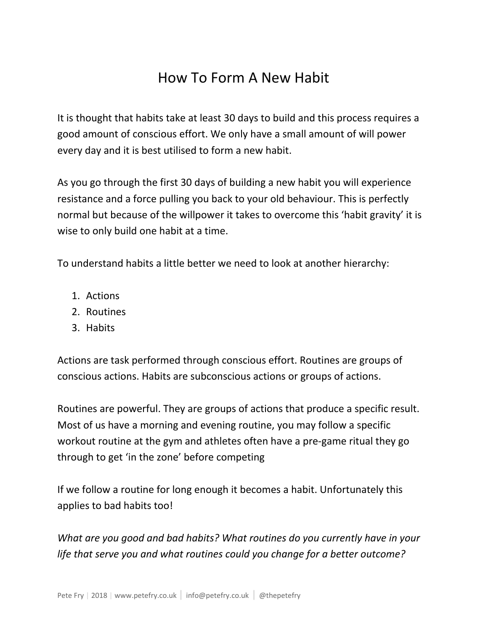## How To Form A New Habit

It is thought that habits take at least 30 days to build and this process requires a good amount of conscious effort. We only have a small amount of will power every day and it is best utilised to form a new habit.

As you go through the first 30 days of building a new habit you will experience resistance and a force pulling you back to your old behaviour. This is perfectly normal but because of the willpower it takes to overcome this 'habit gravity' it is wise to only build one habit at a time.

To understand habits a little better we need to look at another hierarchy:

- 1. Actions
- 2. Routines
- 3. Habits

Actions are task performed through conscious effort. Routines are groups of conscious actions. Habits are subconscious actions or groups of actions.

Routines are powerful. They are groups of actions that produce a specific result. Most of us have a morning and evening routine, you may follow a specific workout routine at the gym and athletes often have a pre-game ritual they go through to get 'in the zone' before competing

If we follow a routine for long enough it becomes a habit. Unfortunately this applies to bad habits too!

*What are you good and bad habits? What routines do you currently have in your life that serve you and what routines could you change for a better outcome?*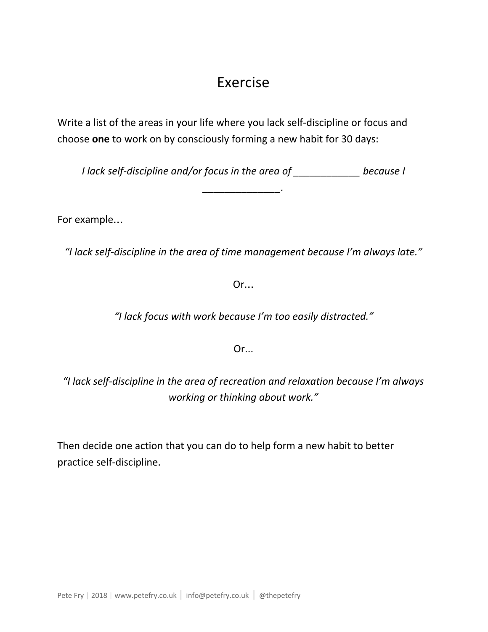#### Exercise

Write a list of the areas in your life where you lack self-discipline or focus and choose **one** to work on by consciously forming a new habit for 30 days:

*I lack self-discipline and/or focus in the area of \_\_\_\_\_\_\_\_\_\_\_\_ because I*

*\_\_\_\_\_\_\_\_\_\_\_\_\_\_.*

For example…

*"I lack self-discipline in the area of time management because I'm always late."*

Or…

*"I lack focus with work because I'm too easily distracted."*

Or...

*"I lack self-discipline in the area of recreation and relaxation because I'm always working or thinking about work."*

Then decide one action that you can do to help form a new habit to better practice self-discipline.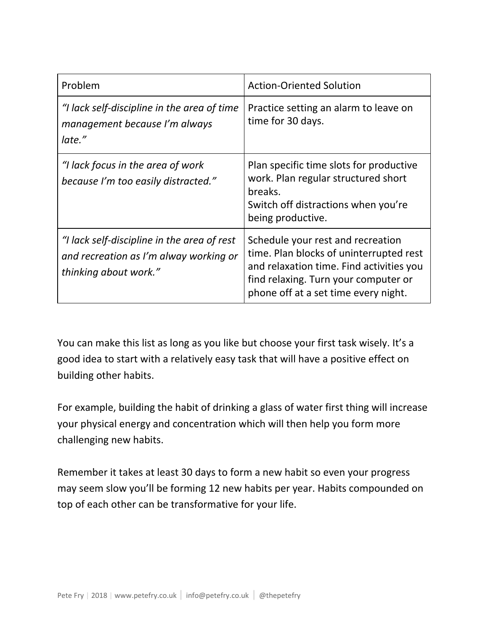| Problem                                                                                                        | <b>Action-Oriented Solution</b>                                                                                                                                                                          |
|----------------------------------------------------------------------------------------------------------------|----------------------------------------------------------------------------------------------------------------------------------------------------------------------------------------------------------|
| "I lack self-discipline in the area of time<br>management because I'm always<br>late."                         | Practice setting an alarm to leave on<br>time for 30 days.                                                                                                                                               |
| "I lack focus in the area of work<br>because I'm too easily distracted."                                       | Plan specific time slots for productive<br>work. Plan regular structured short<br>breaks.<br>Switch off distractions when you're<br>being productive.                                                    |
| "I lack self-discipline in the area of rest<br>and recreation as I'm alway working or<br>thinking about work." | Schedule your rest and recreation<br>time. Plan blocks of uninterrupted rest<br>and relaxation time. Find activities you<br>find relaxing. Turn your computer or<br>phone off at a set time every night. |

You can make this list as long as you like but choose your first task wisely. It's a good idea to start with a relatively easy task that will have a positive effect on building other habits.

For example, building the habit of drinking a glass of water first thing will increase your physical energy and concentration which will then help you form more challenging new habits.

Remember it takes at least 30 days to form a new habit so even your progress may seem slow you'll be forming 12 new habits per year. Habits compounded on top of each other can be transformative for your life.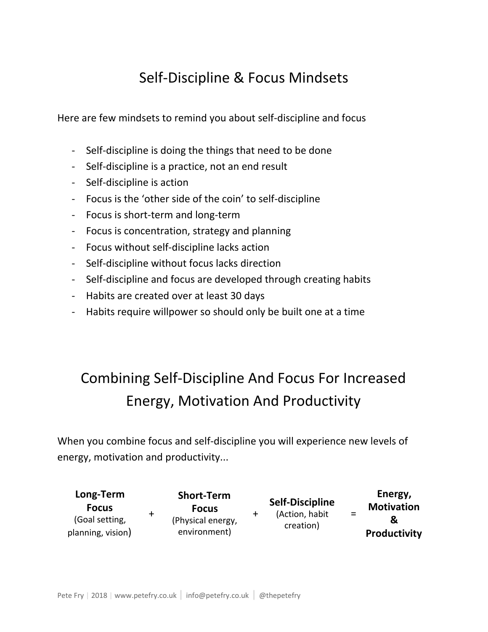## Self-Discipline & Focus Mindsets

Here are few mindsets to remind you about self-discipline and focus

- Self-discipline is doing the things that need to be done
- Self-discipline is a practice, not an end result
- Self-discipline is action
- Focus is the 'other side of the coin' to self-discipline
- Focus is short-term and long-term
- Focus is concentration, strategy and planning
- Focus without self-discipline lacks action
- Self-discipline without focus lacks direction
- Self-discipline and focus are developed through creating habits
- Habits are created over at least 30 days
- Habits require willpower so should only be built one at a time

## Combining Self-Discipline And Focus For Increased Energy, Motivation And Productivity

When you combine focus and self-discipline you will experience new levels of energy, motivation and productivity...

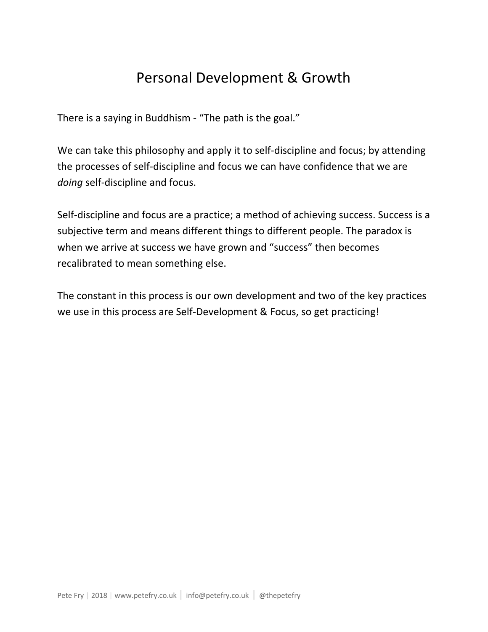## Personal Development & Growth

There is a saying in Buddhism - "The path is the goal."

We can take this philosophy and apply it to self-discipline and focus; by attending the processes of self-discipline and focus we can have confidence that we are *doing* self-discipline and focus.

Self-discipline and focus are a practice; a method of achieving success. Success is a subjective term and means different things to different people. The paradox is when we arrive at success we have grown and "success" then becomes recalibrated to mean something else.

The constant in this process is our own development and two of the key practices we use in this process are Self-Development & Focus, so get practicing!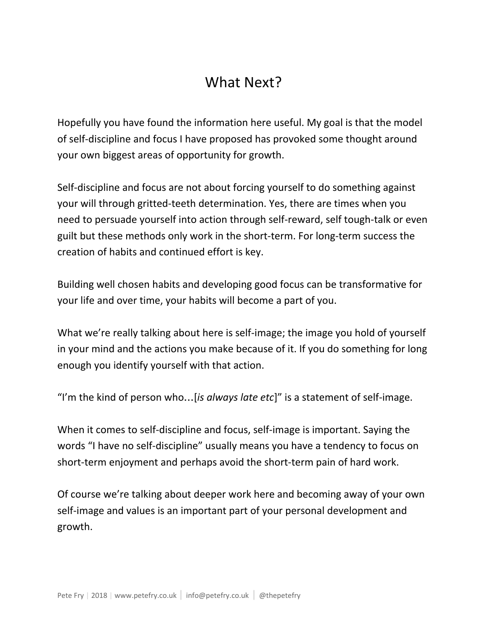## What Next?

Hopefully you have found the information here useful. My goal is that the model of self-discipline and focus I have proposed has provoked some thought around your own biggest areas of opportunity for growth.

Self-discipline and focus are not about forcing yourself to do something against your will through gritted-teeth determination. Yes, there are times when you need to persuade yourself into action through self-reward, self tough-talk or even guilt but these methods only work in the short-term. For long-term success the creation of habits and continued effort is key.

Building well chosen habits and developing good focus can be transformative for your life and over time, your habits will become a part of you.

What we're really talking about here is self-image; the image you hold of yourself in your mind and the actions you make because of it. If you do something for long enough you identify yourself with that action.

"I'm the kind of person who…[*is always late etc*]" is a statement of self-image.

When it comes to self-discipline and focus, self-image is important. Saying the words "I have no self-discipline" usually means you have a tendency to focus on short-term enjoyment and perhaps avoid the short-term pain of hard work.

Of course we're talking about deeper work here and becoming away of your own self-image and values is an important part of your personal development and growth.